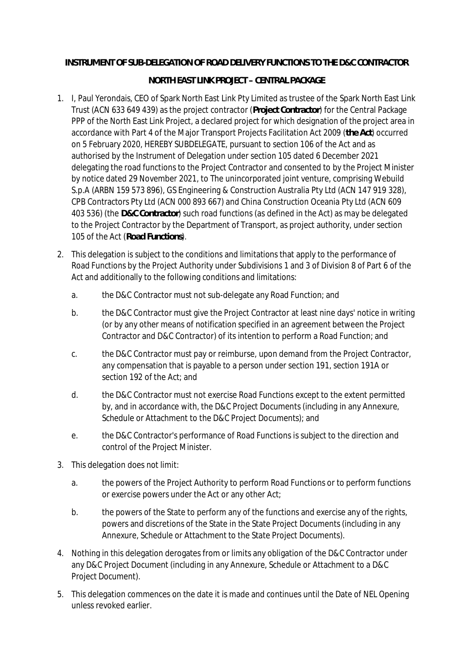## **INSTRUMENT OF SUB-DELEGATION OF ROAD DELIVERY FUNCTIONS TO THE D&C CONTRACTOR**

## **NORTH EAST LINK PROJECT – CENTRAL PACKAGE**

- 1. I, Paul Yerondais, CEO of Spark North East Link Pty Limited as trustee of the Spark North East Link Trust (ACN 633 649 439) as the project contractor (**Project Contractor**) for the Central Package PPP of the North East Link Project, a declared project for which designation of the project area in accordance with Part 4 of the Major Transport Projects Facilitation Act 2009 (**the Act**) occurred on 5 February 2020, HEREBY SUBDELEGATE, pursuant to section 106 of the Act and as authorised by the Instrument of Delegation under section 105 dated 6 December 2021 delegating the road functions to the Project Contractor and consented to by the Project Minister by notice dated 29 November 2021, to The unincorporated joint venture, comprising Webuild S.p.A (ARBN 159 573 896), GS Engineering & Construction Australia Pty Ltd (ACN 147 919 328), CPB Contractors Pty Ltd (ACN 000 893 667) and China Construction Oceania Pty Ltd (ACN 609 403 536) (the **D&C Contractor**) such road functions (as defined in the Act) as may be delegated to the Project Contractor by the Department of Transport, as project authority, under section 105 of the Act (**Road Functions**).
- 2. This delegation is subject to the conditions and limitations that apply to the performance of Road Functions by the Project Authority under Subdivisions 1 and 3 of Division 8 of Part 6 of the Act and additionally to the following conditions and limitations:
	- a. the D&C Contractor must not sub-delegate any Road Function; and
	- b. the D&C Contractor must give the Project Contractor at least nine days' notice in writing (or by any other means of notification specified in an agreement between the Project Contractor and D&C Contractor) of its intention to perform a Road Function; and
	- c. the D&C Contractor must pay or reimburse, upon demand from the Project Contractor, any compensation that is payable to a person under section 191, section 191A or section 192 of the Act; and
	- d. the D&C Contractor must not exercise Road Functions except to the extent permitted by, and in accordance with, the D&C Project Documents (including in any Annexure, Schedule or Attachment to the D&C Project Documents); and
	- e. the D&C Contractor's performance of Road Functions is subject to the direction and control of the Project Minister.
- 3. This delegation does not limit:
	- a. the powers of the Project Authority to perform Road Functions or to perform functions or exercise powers under the Act or any other Act;
	- b. the powers of the State to perform any of the functions and exercise any of the rights, powers and discretions of the State in the State Project Documents (including in any Annexure, Schedule or Attachment to the State Project Documents).
- 4. Nothing in this delegation derogates from or limits any obligation of the D&C Contractor under any D&C Project Document (including in any Annexure, Schedule or Attachment to a D&C Project Document).
- 5. This delegation commences on the date it is made and continues until the Date of NEL Opening unless revoked earlier.